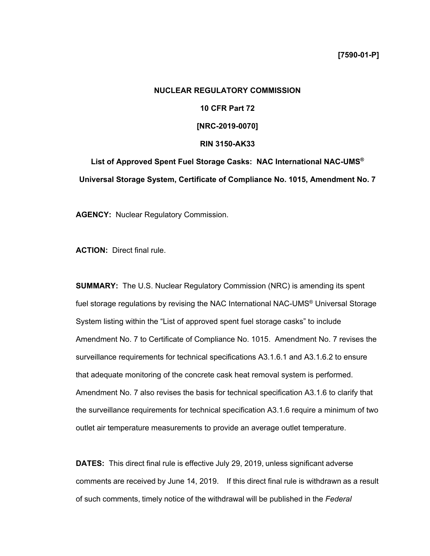# **NUCLEAR REGULATORY COMMISSION 10 CFR Part 72 [NRC-2019-0070] RIN 3150-AK33 List of Approved Spent Fuel Storage Casks: NAC International NAC-UMS®**

**Universal Storage System, Certificate of Compliance No. 1015, Amendment No. 7** 

**AGENCY:** Nuclear Regulatory Commission.

**ACTION:** Direct final rule.

**SUMMARY:** The U.S. Nuclear Regulatory Commission (NRC) is amending its spent fuel storage regulations by revising the NAC International NAC-UMS® Universal Storage System listing within the "List of approved spent fuel storage casks" to include Amendment No. 7 to Certificate of Compliance No. 1015. Amendment No. 7 revises the surveillance requirements for technical specifications A3.1.6.1 and A3.1.6.2 to ensure that adequate monitoring of the concrete cask heat removal system is performed. Amendment No. 7 also revises the basis for technical specification A3.1.6 to clarify that the surveillance requirements for technical specification A3.1.6 require a minimum of two outlet air temperature measurements to provide an average outlet temperature.

**DATES:** This direct final rule is effective July 29, 2019, unless significant adverse comments are received by June 14, 2019. If this direct final rule is withdrawn as a result of such comments, timely notice of the withdrawal will be published in the *Federal*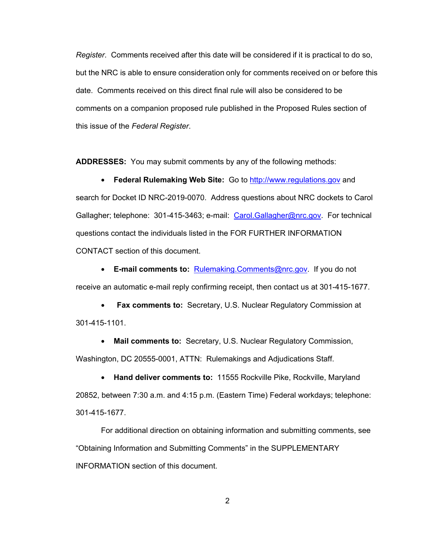*Register*. Comments received after this date will be considered if it is practical to do so, but the NRC is able to ensure consideration only for comments received on or before this date. Comments received on this direct final rule will also be considered to be comments on a companion proposed rule published in the Proposed Rules section of this issue of the *Federal Register*.

**ADDRESSES:** You may submit comments by any of the following methods:

• **Federal Rulemaking Web Site:** Go to http://www.regulations.gov and search for Docket ID NRC-2019-0070. Address questions about NRC dockets to Carol Gallagher; telephone: 301-415-3463; e-mail: Carol.Gallagher@nrc.gov. For technical questions contact the individuals listed in the FOR FURTHER INFORMATION CONTACT section of this document.

• **E-mail comments to:** Rulemaking.Comments@nrc.gov.If you do not receive an automatic e-mail reply confirming receipt, then contact us at 301-415-1677.

• **Fax comments to:** Secretary, U.S. Nuclear Regulatory Commission at 301-415-1101.

• **Mail comments to:** Secretary, U.S. Nuclear Regulatory Commission, Washington, DC 20555-0001, ATTN: Rulemakings and Adjudications Staff.

• **Hand deliver comments to:** 11555 Rockville Pike, Rockville, Maryland 20852, between 7:30 a.m. and 4:15 p.m. (Eastern Time) Federal workdays; telephone: 301-415-1677.

For additional direction on obtaining information and submitting comments, see "Obtaining Information and Submitting Comments" in the SUPPLEMENTARY INFORMATION section of this document.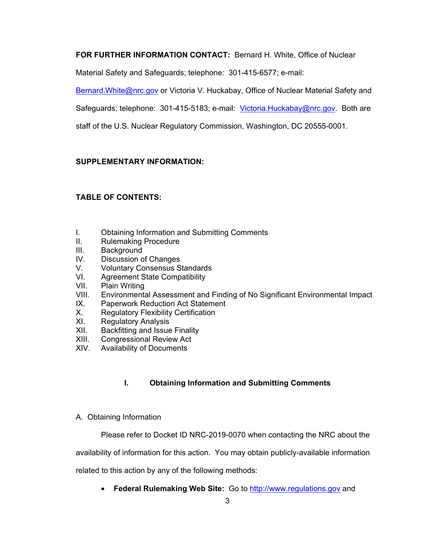**FOR FURTHER INFORMATION CONTACT:** Bernard H. White, Office of Nuclear

Material Safety and Safeguards; telephone: 301-415-6577; e-mail:

Bernard.White@nrc.gov or Victoria V. Huckabay, Office of Nuclear Material Safety and

Safeguards; telephone: 301-415-5183; e-mail: Victoria. Huckabay@nrc.gov. Both are

staff of the U.S. Nuclear Regulatory Commission, Washington, DC 20555-0001.

### **SUPPLEMENTARY INFORMATION:**

# **TABLE OF CONTENTS:**

- I. Obtaining Information and Submitting Comments
- II. Rulemaking Procedure
- III. Background
- IV. Discussion of Changes
- V. Voluntary Consensus Standards
- VI. Agreement State Compatibility
- VII. Plain Writing
- VIII. Environmental Assessment and Finding of No Significant Environmental Impact
- IX. Paperwork Reduction Act Statement
- X. Regulatory Flexibility Certification
- XI. Regulatory Analysis
- XII. Backfitting and Issue Finality
- XIII. Congressional Review Act<br>XIV. Availability of Documents
- Availability of Documents

# **I. Obtaining Information and Submitting Comments**

A. Obtaining Information

Please refer to Docket ID NRC-2019-0070 when contacting the NRC about the

availability of information for this action. You may obtain publicly-available information

related to this action by any of the following methods:

• **Federal Rulemaking Web Site:** Go to http://www.regulations.gov and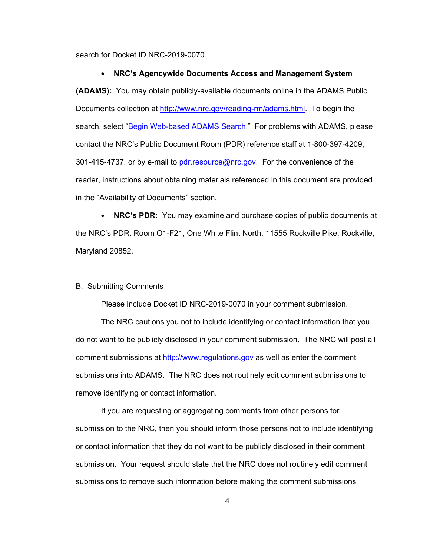search for Docket ID NRC-2019-0070.

#### • **NRC's Agencywide Documents Access and Management System**

**(ADAMS):** You may obtain publicly-available documents online in the ADAMS Public Documents collection at http://www.nrc.gov/reading-rm/adams.html. To begin the search, select "Begin Web-based ADAMS Search." For problems with ADAMS, please contact the NRC's Public Document Room (PDR) reference staff at 1-800-397-4209, 301-415-4737, or by e-mail to pdr.resource@nrc.gov. For the convenience of the reader, instructions about obtaining materials referenced in this document are provided in the "Availability of Documents" section.

• **NRC's PDR:** You may examine and purchase copies of public documents at the NRC's PDR, Room O1-F21, One White Flint North, 11555 Rockville Pike, Rockville, Maryland 20852.

#### B. Submitting Comments

Please include Docket ID NRC-2019-0070 in your comment submission.

The NRC cautions you not to include identifying or contact information that you do not want to be publicly disclosed in your comment submission. The NRC will post all comment submissions at http://www.regulations.gov as well as enter the comment submissions into ADAMS. The NRC does not routinely edit comment submissions to remove identifying or contact information.

If you are requesting or aggregating comments from other persons for submission to the NRC, then you should inform those persons not to include identifying or contact information that they do not want to be publicly disclosed in their comment submission. Your request should state that the NRC does not routinely edit comment submissions to remove such information before making the comment submissions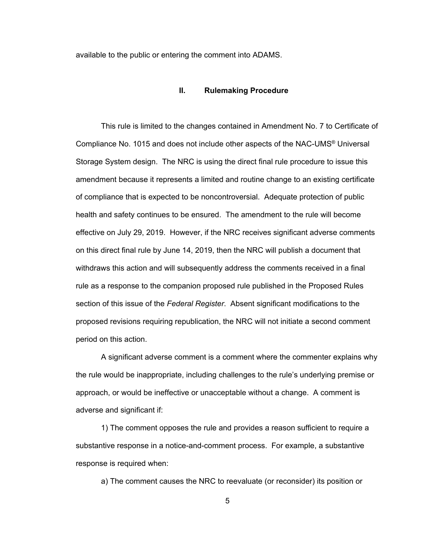available to the public or entering the comment into ADAMS.

#### **II. Rulemaking Procedure**

This rule is limited to the changes contained in Amendment No. 7 to Certificate of Compliance No. 1015 and does not include other aspects of the NAC-UMS® Universal Storage System design. The NRC is using the direct final rule procedure to issue this amendment because it represents a limited and routine change to an existing certificate of compliance that is expected to be noncontroversial. Adequate protection of public health and safety continues to be ensured. The amendment to the rule will become effective on July 29, 2019. However, if the NRC receives significant adverse comments on this direct final rule by June 14, 2019, then the NRC will publish a document that withdraws this action and will subsequently address the comments received in a final rule as a response to the companion proposed rule published in the Proposed Rules section of this issue of the *Federal Register*. Absent significant modifications to the proposed revisions requiring republication, the NRC will not initiate a second comment period on this action.

 A significant adverse comment is a comment where the commenter explains why the rule would be inappropriate, including challenges to the rule's underlying premise or approach, or would be ineffective or unacceptable without a change. A comment is adverse and significant if:

 1) The comment opposes the rule and provides a reason sufficient to require a substantive response in a notice-and-comment process. For example, a substantive response is required when:

a) The comment causes the NRC to reevaluate (or reconsider) its position or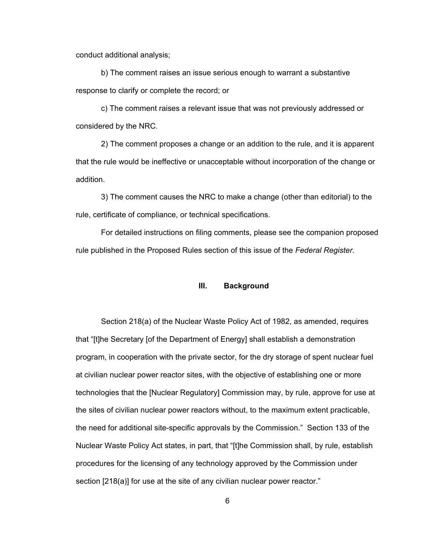conduct additional analysis;

 b) The comment raises an issue serious enough to warrant a substantive response to clarify or complete the record; or

 c) The comment raises a relevant issue that was not previously addressed or considered by the NRC.

 2) The comment proposes a change or an addition to the rule, and it is apparent that the rule would be ineffective or unacceptable without incorporation of the change or addition.

 3) The comment causes the NRC to make a change (other than editorial) to the rule, certificate of compliance, or technical specifications.

 For detailed instructions on filing comments, please see the companion proposed rule published in the Proposed Rules section of this issue of the *Federal Register*.

#### **III. Background**

 Section 218(a) of the Nuclear Waste Policy Act of 1982, as amended, requires that "[t]he Secretary [of the Department of Energy] shall establish a demonstration program, in cooperation with the private sector, for the dry storage of spent nuclear fuel at civilian nuclear power reactor sites, with the objective of establishing one or more technologies that the [Nuclear Regulatory] Commission may, by rule, approve for use at the sites of civilian nuclear power reactors without, to the maximum extent practicable, the need for additional site-specific approvals by the Commission." Section 133 of the Nuclear Waste Policy Act states, in part, that "[t]he Commission shall, by rule, establish procedures for the licensing of any technology approved by the Commission under section [218(a)] for use at the site of any civilian nuclear power reactor."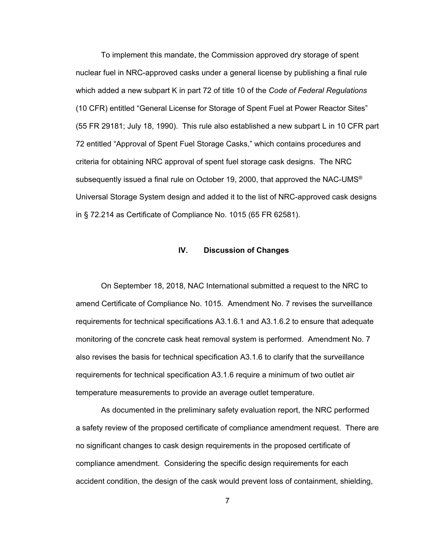To implement this mandate, the Commission approved dry storage of spent nuclear fuel in NRC-approved casks under a general license by publishing a final rule which added a new subpart K in part 72 of title 10 of the *Code of Federal Regulations* (10 CFR) entitled "General License for Storage of Spent Fuel at Power Reactor Sites" (55 FR 29181; July 18, 1990). This rule also established a new subpart L in 10 CFR part 72 entitled "Approval of Spent Fuel Storage Casks," which contains procedures and criteria for obtaining NRC approval of spent fuel storage cask designs. The NRC subsequently issued a final rule on October 19, 2000, that approved the NAC-UMS<sup>®</sup> Universal Storage System design and added it to the list of NRC-approved cask designs in § 72.214 as Certificate of Compliance No. 1015 (65 FR 62581).

#### **IV. Discussion of Changes**

On September 18, 2018, NAC International submitted a request to the NRC to amend Certificate of Compliance No. 1015. Amendment No. 7 revises the surveillance requirements for technical specifications A3.1.6.1 and A3.1.6.2 to ensure that adequate monitoring of the concrete cask heat removal system is performed. Amendment No. 7 also revises the basis for technical specification A3.1.6 to clarify that the surveillance requirements for technical specification A3.1.6 require a minimum of two outlet air temperature measurements to provide an average outlet temperature.

 As documented in the preliminary safety evaluation report, the NRC performed a safety review of the proposed certificate of compliance amendment request. There are no significant changes to cask design requirements in the proposed certificate of compliance amendment. Considering the specific design requirements for each accident condition, the design of the cask would prevent loss of containment, shielding,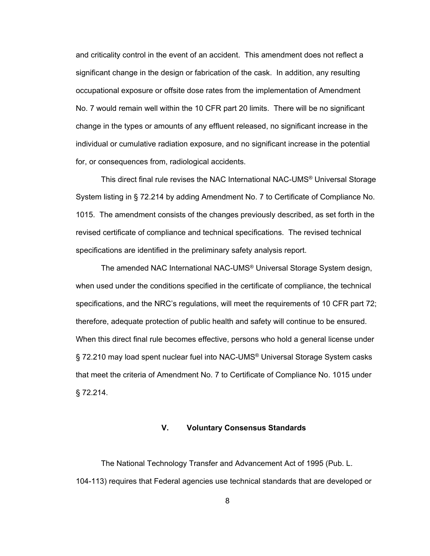and criticality control in the event of an accident. This amendment does not reflect a significant change in the design or fabrication of the cask. In addition, any resulting occupational exposure or offsite dose rates from the implementation of Amendment No. 7 would remain well within the 10 CFR part 20 limits. There will be no significant change in the types or amounts of any effluent released, no significant increase in the individual or cumulative radiation exposure, and no significant increase in the potential for, or consequences from, radiological accidents.

 This direct final rule revises the NAC International NAC-UMS® Universal Storage System listing in § 72.214 by adding Amendment No. 7 to Certificate of Compliance No. 1015. The amendment consists of the changes previously described, as set forth in the revised certificate of compliance and technical specifications. The revised technical specifications are identified in the preliminary safety analysis report.

 The amended NAC International NAC-UMS® Universal Storage System design, when used under the conditions specified in the certificate of compliance, the technical specifications, and the NRC's regulations, will meet the requirements of 10 CFR part 72; therefore, adequate protection of public health and safety will continue to be ensured. When this direct final rule becomes effective, persons who hold a general license under § 72.210 may load spent nuclear fuel into NAC-UMS<sup>®</sup> Universal Storage System casks that meet the criteria of Amendment No. 7 to Certificate of Compliance No. 1015 under § 72.214.

#### **V. Voluntary Consensus Standards**

 The National Technology Transfer and Advancement Act of 1995 (Pub. L. 104-113) requires that Federal agencies use technical standards that are developed or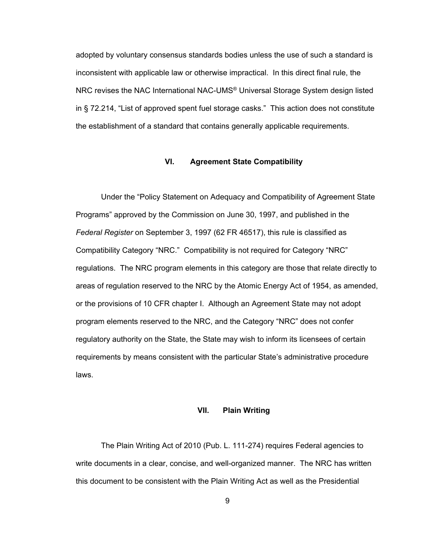adopted by voluntary consensus standards bodies unless the use of such a standard is inconsistent with applicable law or otherwise impractical. In this direct final rule, the NRC revises the NAC International NAC-UMS® Universal Storage System design listed in § 72.214, "List of approved spent fuel storage casks." This action does not constitute the establishment of a standard that contains generally applicable requirements.

#### **VI. Agreement State Compatibility**

 Under the "Policy Statement on Adequacy and Compatibility of Agreement State Programs" approved by the Commission on June 30, 1997, and published in the *Federal Register* on September 3, 1997 (62 FR 46517), this rule is classified as Compatibility Category "NRC." Compatibility is not required for Category "NRC" regulations. The NRC program elements in this category are those that relate directly to areas of regulation reserved to the NRC by the Atomic Energy Act of 1954, as amended, or the provisions of 10 CFR chapter I. Although an Agreement State may not adopt program elements reserved to the NRC, and the Category "NRC" does not confer regulatory authority on the State, the State may wish to inform its licensees of certain requirements by means consistent with the particular State's administrative procedure laws.

#### **VII. Plain Writing**

The Plain Writing Act of 2010 (Pub. L. 111-274) requires Federal agencies to write documents in a clear, concise, and well-organized manner. The NRC has written this document to be consistent with the Plain Writing Act as well as the Presidential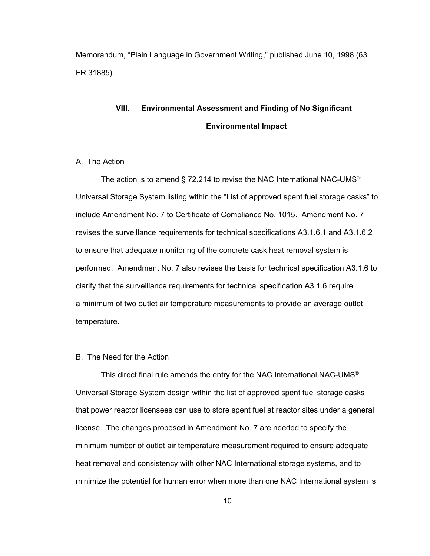Memorandum, "Plain Language in Government Writing," published June 10, 1998 (63 FR 31885).

# **VIII. Environmental Assessment and Finding of No Significant Environmental Impact**

#### A. The Action

The action is to amend § 72.214 to revise the NAC International NAC-UMS<sup>®</sup> Universal Storage System listing within the "List of approved spent fuel storage casks" to include Amendment No. 7 to Certificate of Compliance No. 1015. Amendment No. 7 revises the surveillance requirements for technical specifications A3.1.6.1 and A3.1.6.2 to ensure that adequate monitoring of the concrete cask heat removal system is performed. Amendment No. 7 also revises the basis for technical specification A3.1.6 to clarify that the surveillance requirements for technical specification A3.1.6 require a minimum of two outlet air temperature measurements to provide an average outlet temperature.

#### B. The Need for the Action

This direct final rule amends the entry for the NAC International NAC-UMS® Universal Storage System design within the list of approved spent fuel storage casks that power reactor licensees can use to store spent fuel at reactor sites under a general license. The changes proposed in Amendment No. 7 are needed to specify the minimum number of outlet air temperature measurement required to ensure adequate heat removal and consistency with other NAC International storage systems, and to minimize the potential for human error when more than one NAC International system is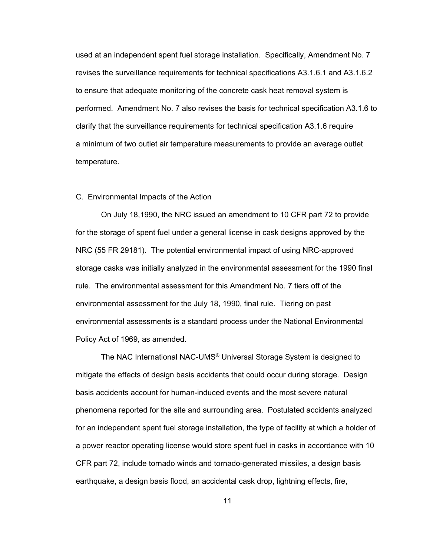used at an independent spent fuel storage installation. Specifically, Amendment No. 7 revises the surveillance requirements for technical specifications A3.1.6.1 and A3.1.6.2 to ensure that adequate monitoring of the concrete cask heat removal system is performed. Amendment No. 7 also revises the basis for technical specification A3.1.6 to clarify that the surveillance requirements for technical specification A3.1.6 require a minimum of two outlet air temperature measurements to provide an average outlet temperature.

#### C. Environmental Impacts of the Action

 On July 18,1990, the NRC issued an amendment to 10 CFR part 72 to provide for the storage of spent fuel under a general license in cask designs approved by the NRC (55 FR 29181). The potential environmental impact of using NRC-approved storage casks was initially analyzed in the environmental assessment for the 1990 final rule. The environmental assessment for this Amendment No. 7 tiers off of the environmental assessment for the July 18, 1990, final rule. Tiering on past environmental assessments is a standard process under the National Environmental Policy Act of 1969, as amended.

 The NAC International NAC-UMS® Universal Storage System is designed to mitigate the effects of design basis accidents that could occur during storage. Design basis accidents account for human-induced events and the most severe natural phenomena reported for the site and surrounding area. Postulated accidents analyzed for an independent spent fuel storage installation, the type of facility at which a holder of a power reactor operating license would store spent fuel in casks in accordance with 10 CFR part 72, include tornado winds and tornado-generated missiles, a design basis earthquake, a design basis flood, an accidental cask drop, lightning effects, fire,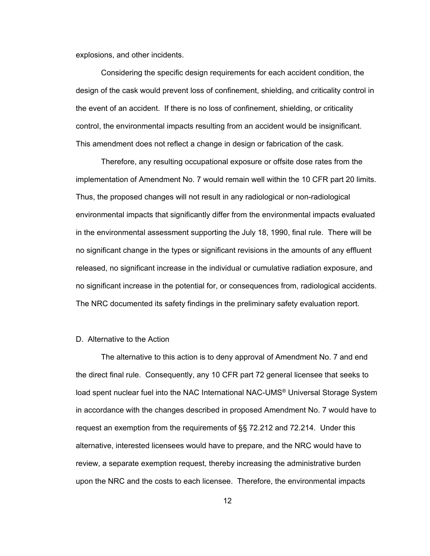explosions, and other incidents.

Considering the specific design requirements for each accident condition, the design of the cask would prevent loss of confinement, shielding, and criticality control in the event of an accident. If there is no loss of confinement, shielding, or criticality control, the environmental impacts resulting from an accident would be insignificant. This amendment does not reflect a change in design or fabrication of the cask.

Therefore, any resulting occupational exposure or offsite dose rates from the implementation of Amendment No. 7 would remain well within the 10 CFR part 20 limits. Thus, the proposed changes will not result in any radiological or non-radiological environmental impacts that significantly differ from the environmental impacts evaluated in the environmental assessment supporting the July 18, 1990, final rule. There will be no significant change in the types or significant revisions in the amounts of any effluent released, no significant increase in the individual or cumulative radiation exposure, and no significant increase in the potential for, or consequences from, radiological accidents. The NRC documented its safety findings in the preliminary safety evaluation report.

#### D. Alternative to the Action

 The alternative to this action is to deny approval of Amendment No. 7 and end the direct final rule. Consequently, any 10 CFR part 72 general licensee that seeks to load spent nuclear fuel into the NAC International NAC-UMS® Universal Storage System in accordance with the changes described in proposed Amendment No. 7 would have to request an exemption from the requirements of §§ 72.212 and 72.214. Under this alternative, interested licensees would have to prepare, and the NRC would have to review, a separate exemption request, thereby increasing the administrative burden upon the NRC and the costs to each licensee. Therefore, the environmental impacts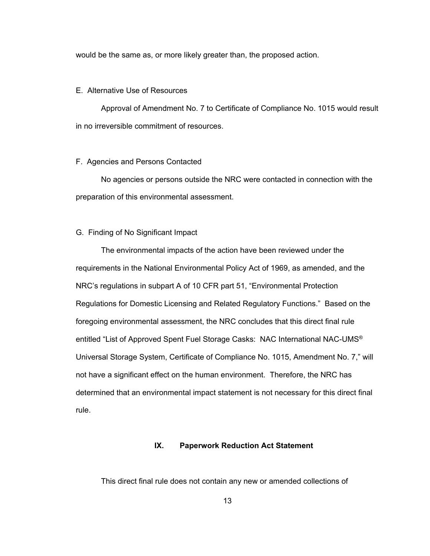would be the same as, or more likely greater than, the proposed action.

#### E. Alternative Use of Resources

 Approval of Amendment No. 7 to Certificate of Compliance No. 1015 would result in no irreversible commitment of resources.

#### F. Agencies and Persons Contacted

 No agencies or persons outside the NRC were contacted in connection with the preparation of this environmental assessment.

#### G. Finding of No Significant Impact

 The environmental impacts of the action have been reviewed under the requirements in the National Environmental Policy Act of 1969, as amended, and the NRC's regulations in subpart A of 10 CFR part 51, "Environmental Protection Regulations for Domestic Licensing and Related Regulatory Functions." Based on the foregoing environmental assessment, the NRC concludes that this direct final rule entitled "List of Approved Spent Fuel Storage Casks: NAC International NAC-UMS® Universal Storage System, Certificate of Compliance No. 1015, Amendment No. 7," will not have a significant effect on the human environment. Therefore, the NRC has determined that an environmental impact statement is not necessary for this direct final rule.

#### **IX. Paperwork Reduction Act Statement**

This direct final rule does not contain any new or amended collections of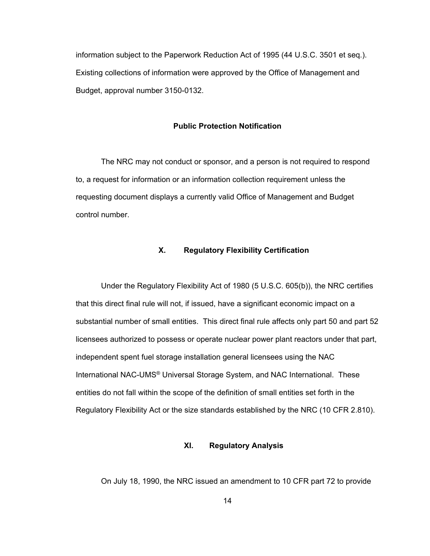information subject to the Paperwork Reduction Act of 1995 (44 U.S.C. 3501 et seq.). Existing collections of information were approved by the Office of Management and Budget, approval number 3150-0132.

#### **Public Protection Notification**

 The NRC may not conduct or sponsor, and a person is not required to respond to, a request for information or an information collection requirement unless the requesting document displays a currently valid Office of Management and Budget control number.

#### **X. Regulatory Flexibility Certification**

 Under the Regulatory Flexibility Act of 1980 (5 U.S.C. 605(b)), the NRC certifies that this direct final rule will not, if issued, have a significant economic impact on a substantial number of small entities. This direct final rule affects only part 50 and part 52 licensees authorized to possess or operate nuclear power plant reactors under that part, independent spent fuel storage installation general licensees using the NAC International NAC-UMS® Universal Storage System, and NAC International. These entities do not fall within the scope of the definition of small entities set forth in the Regulatory Flexibility Act or the size standards established by the NRC (10 CFR 2.810).

### **XI. Regulatory Analysis**

On July 18, 1990, the NRC issued an amendment to 10 CFR part 72 to provide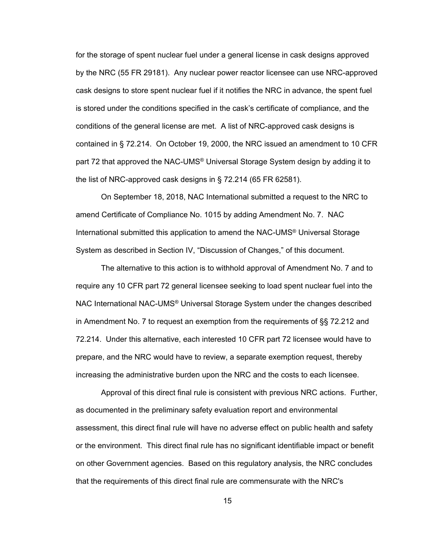for the storage of spent nuclear fuel under a general license in cask designs approved by the NRC (55 FR 29181). Any nuclear power reactor licensee can use NRC-approved cask designs to store spent nuclear fuel if it notifies the NRC in advance, the spent fuel is stored under the conditions specified in the cask's certificate of compliance, and the conditions of the general license are met. A list of NRC-approved cask designs is contained in § 72.214. On October 19, 2000, the NRC issued an amendment to 10 CFR part 72 that approved the NAC-UMS® Universal Storage System design by adding it to the list of NRC-approved cask designs in § 72.214 (65 FR 62581).

 On September 18, 2018, NAC International submitted a request to the NRC to amend Certificate of Compliance No. 1015 by adding Amendment No. 7. NAC International submitted this application to amend the NAC-UMS® Universal Storage System as described in Section IV, "Discussion of Changes," of this document.

 The alternative to this action is to withhold approval of Amendment No. 7 and to require any 10 CFR part 72 general licensee seeking to load spent nuclear fuel into the NAC International NAC-UMS® Universal Storage System under the changes described in Amendment No. 7 to request an exemption from the requirements of §§ 72.212 and 72.214. Under this alternative, each interested 10 CFR part 72 licensee would have to prepare, and the NRC would have to review, a separate exemption request, thereby increasing the administrative burden upon the NRC and the costs to each licensee.

 Approval of this direct final rule is consistent with previous NRC actions. Further, as documented in the preliminary safety evaluation report and environmental assessment, this direct final rule will have no adverse effect on public health and safety or the environment. This direct final rule has no significant identifiable impact or benefit on other Government agencies. Based on this regulatory analysis, the NRC concludes that the requirements of this direct final rule are commensurate with the NRC's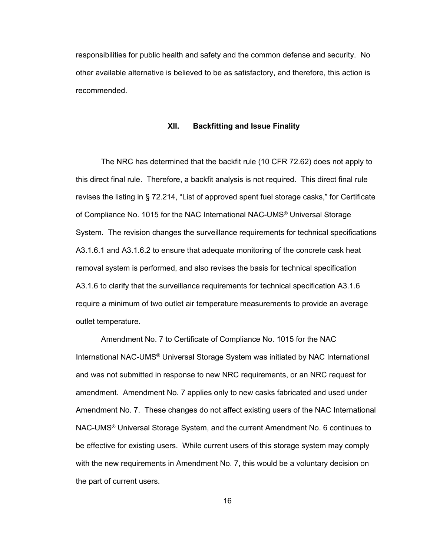responsibilities for public health and safety and the common defense and security. No other available alternative is believed to be as satisfactory, and therefore, this action is recommended.

#### **XII. Backfitting and Issue Finality**

 The NRC has determined that the backfit rule (10 CFR 72.62) does not apply to this direct final rule. Therefore, a backfit analysis is not required. This direct final rule revises the listing in § 72.214, "List of approved spent fuel storage casks," for Certificate of Compliance No. 1015 for the NAC International NAC-UMS® Universal Storage System. The revision changes the surveillance requirements for technical specifications A3.1.6.1 and A3.1.6.2 to ensure that adequate monitoring of the concrete cask heat removal system is performed, and also revises the basis for technical specification A3.1.6 to clarify that the surveillance requirements for technical specification A3.1.6 require a minimum of two outlet air temperature measurements to provide an average outlet temperature.

 Amendment No. 7 to Certificate of Compliance No. 1015 for the NAC International NAC-UMS® Universal Storage System was initiated by NAC International and was not submitted in response to new NRC requirements, or an NRC request for amendment. Amendment No. 7 applies only to new casks fabricated and used under Amendment No. 7. These changes do not affect existing users of the NAC International NAC-UMS® Universal Storage System, and the current Amendment No. 6 continues to be effective for existing users. While current users of this storage system may comply with the new requirements in Amendment No. 7, this would be a voluntary decision on the part of current users.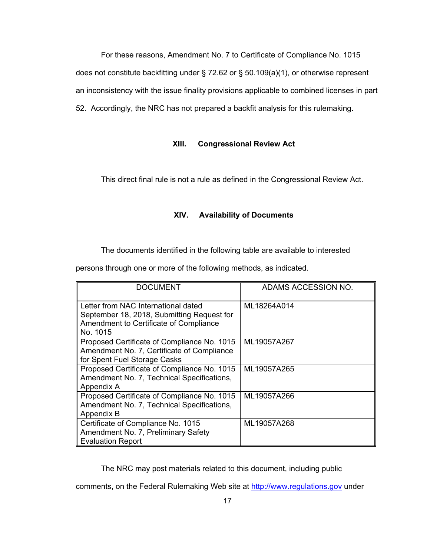For these reasons, Amendment No. 7 to Certificate of Compliance No. 1015 does not constitute backfitting under § 72.62 or § 50.109(a)(1), or otherwise represent an inconsistency with the issue finality provisions applicable to combined licenses in part 52. Accordingly, the NRC has not prepared a backfit analysis for this rulemaking.

## **XIII. Congressional Review Act**

This direct final rule is not a rule as defined in the Congressional Review Act.

#### **XIV. Availability of Documents**

The documents identified in the following table are available to interested

persons through one or more of the following methods, as indicated.

| <b>DOCUMENT</b>                                                                                                                         | ADAMS ACCESSION NO. |
|-----------------------------------------------------------------------------------------------------------------------------------------|---------------------|
| Letter from NAC International dated<br>September 18, 2018, Submitting Request for<br>Amendment to Certificate of Compliance<br>No. 1015 | ML18264A014         |
| Proposed Certificate of Compliance No. 1015<br>Amendment No. 7, Certificate of Compliance<br>for Spent Fuel Storage Casks               | ML19057A267         |
| Proposed Certificate of Compliance No. 1015<br>Amendment No. 7, Technical Specifications,<br>Appendix A                                 | ML19057A265         |
| Proposed Certificate of Compliance No. 1015<br>Amendment No. 7, Technical Specifications,<br>Appendix B                                 | ML19057A266         |
| Certificate of Compliance No. 1015<br>Amendment No. 7, Preliminary Safety<br><b>Evaluation Report</b>                                   | ML19057A268         |

The NRC may post materials related to this document, including public

comments, on the Federal Rulemaking Web site at http://www.regulations.gov under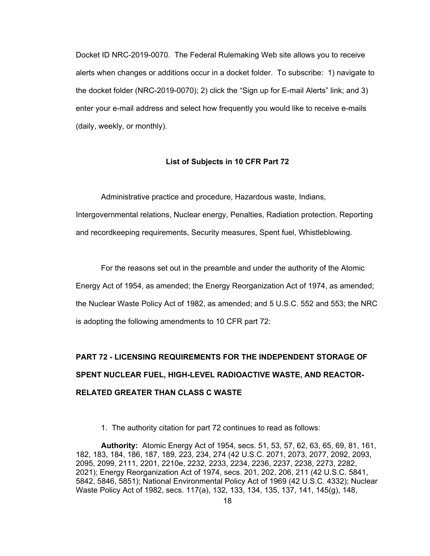Docket ID NRC-2019-0070. The Federal Rulemaking Web site allows you to receive alerts when changes or additions occur in a docket folder. To subscribe: 1) navigate to the docket folder (NRC-2019-0070); 2) click the "Sign up for E-mail Alerts" link; and 3) enter your e-mail address and select how frequently you would like to receive e-mails (daily, weekly, or monthly).

#### **List of Subjects in 10 CFR Part 72**

 Administrative practice and procedure, Hazardous waste, Indians, Intergovernmental relations, Nuclear energy, Penalties, Radiation protection, Reporting and recordkeeping requirements, Security measures, Spent fuel, Whistleblowing.

 For the reasons set out in the preamble and under the authority of the Atomic Energy Act of 1954, as amended; the Energy Reorganization Act of 1974, as amended; the Nuclear Waste Policy Act of 1982, as amended; and 5 U.S.C. 552 and 553; the NRC is adopting the following amendments to 10 CFR part 72:

# **PART 72 - LICENSING REQUIREMENTS FOR THE INDEPENDENT STORAGE OF SPENT NUCLEAR FUEL, HIGH-LEVEL RADIOACTIVE WASTE, AND REACTOR-RELATED GREATER THAN CLASS C WASTE**

1. The authority citation for part 72 continues to read as follows:

**Authority:** Atomic Energy Act of 1954, secs. 51, 53, 57, 62, 63, 65, 69, 81, 161, 182, 183, 184, 186, 187, 189, 223, 234, 274 (42 U.S.C. 2071, 2073, 2077, 2092, 2093, 2095, 2099, 2111, 2201, 2210e, 2232, 2233, 2234, 2236, 2237, 2238, 2273, 2282, 2021); Energy Reorganization Act of 1974, secs. 201, 202, 206, 211 (42 U.S.C. 5841, 5842, 5846, 5851); National Environmental Policy Act of 1969 (42 U.S.C. 4332); Nuclear Waste Policy Act of 1982, secs. 117(a), 132, 133, 134, 135, 137, 141, 145(g), 148,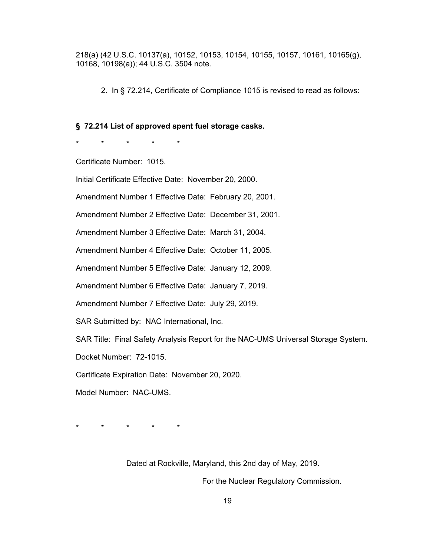218(a) (42 U.S.C. 10137(a), 10152, 10153, 10154, 10155, 10157, 10161, 10165(g), 10168, 10198(a)); 44 U.S.C. 3504 note.

2. In § 72.214, Certificate of Compliance 1015 is revised to read as follows:

#### **§ 72.214 List of approved spent fuel storage casks.**

\* \* \* \* \*

Certificate Number: 1015.

Initial Certificate Effective Date: November 20, 2000.

Amendment Number 1 Effective Date: February 20, 2001.

Amendment Number 2 Effective Date: December 31, 2001.

Amendment Number 3 Effective Date: March 31, 2004.

Amendment Number 4 Effective Date: October 11, 2005.

Amendment Number 5 Effective Date: January 12, 2009.

Amendment Number 6 Effective Date: January 7, 2019.

Amendment Number 7 Effective Date: July 29, 2019.

SAR Submitted by: NAC International, Inc.

SAR Title: Final Safety Analysis Report for the NAC-UMS Universal Storage System.

Docket Number: 72-1015.

Certificate Expiration Date: November 20, 2020.

Model Number: NAC-UMS.

\* \* \* \* \*

Dated at Rockville, Maryland, this 2nd day of May, 2019.

For the Nuclear Regulatory Commission.